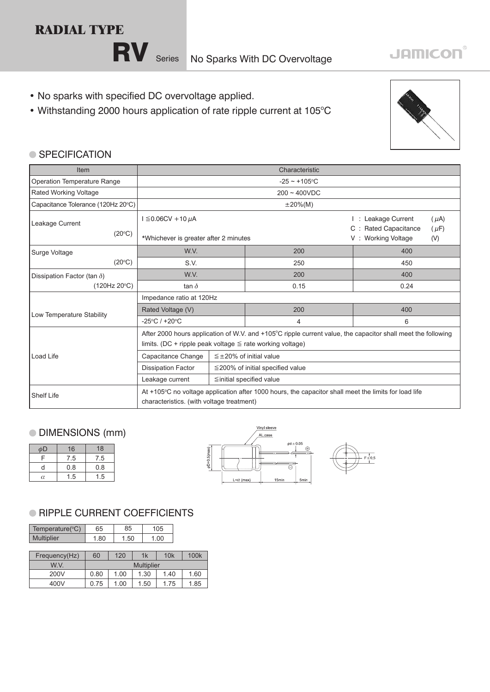# **RADIAL TYPE**

RV Series No Sparks With DC Overvoltage

- No sparks with specified DC overvoltage applied.
- Withstanding 2000 hours application of rate ripple current at 105°C



**JAMICON®** 

#### ● SPECIFICATION

| Item                               | Characteristic                                                                                                                                                                 |                                        |      |                                                                              |  |  |
|------------------------------------|--------------------------------------------------------------------------------------------------------------------------------------------------------------------------------|----------------------------------------|------|------------------------------------------------------------------------------|--|--|
| Operation Temperature Range        | $-25 \sim +105$ °C                                                                                                                                                             |                                        |      |                                                                              |  |  |
| Rated Working Voltage              | $200 - 400VDC$                                                                                                                                                                 |                                        |      |                                                                              |  |  |
| Capacitance Tolerance (120Hz 20°C) | $\pm 20\%$ (M)                                                                                                                                                                 |                                        |      |                                                                              |  |  |
| Leakage Current                    | $I \leq 0.06$ CV + 10 µA                                                                                                                                                       |                                        |      | Leakage Current<br>$(\mu A)$<br><b>Rated Capacitance</b><br>C :<br>$(\mu F)$ |  |  |
| $(20^{\circ}C)$                    | *Whichever is greater after 2 minutes                                                                                                                                          |                                        |      | <b>Working Voltage</b><br>(V)<br>V:                                          |  |  |
| Surge Voltage                      | W.V.                                                                                                                                                                           | 200                                    |      | 400                                                                          |  |  |
| (20°C)                             | S.V.                                                                                                                                                                           | 250                                    |      | 450                                                                          |  |  |
| Dissipation Factor (tan $\delta$ ) | W.V.                                                                                                                                                                           |                                        | 200  | 400                                                                          |  |  |
| (120Hz 20°C)                       | tan $\delta$                                                                                                                                                                   |                                        | 0.15 | 0.24                                                                         |  |  |
|                                    | Impedance ratio at 120Hz                                                                                                                                                       |                                        |      |                                                                              |  |  |
| Low Temperature Stability          | Rated Voltage (V)                                                                                                                                                              |                                        | 200  | 400                                                                          |  |  |
|                                    | $-25^{\circ}$ C / +20 $^{\circ}$ C                                                                                                                                             |                                        | 4    | 6                                                                            |  |  |
|                                    | After 2000 hours application of W.V. and +105°C ripple current value, the capacitor shall meet the following<br>limits. (DC + ripple peak voltage $\leq$ rate working voltage) |                                        |      |                                                                              |  |  |
| Load Life                          | Capacitance Change                                                                                                                                                             | $\leq \pm 20\%$ of initial value       |      |                                                                              |  |  |
|                                    | <b>Dissipation Factor</b>                                                                                                                                                      | $\leq$ 200% of initial specified value |      |                                                                              |  |  |
|                                    | Leakage current                                                                                                                                                                | $\leq$ initial specified value         |      |                                                                              |  |  |
| Shelf Life                         | At +105 °C no voltage application after 1000 hours, the capacitor shall meet the limits for load life<br>characteristics. (with voltage treatment)                             |                                        |      |                                                                              |  |  |

## DIMENSIONS (mm)

| φD | 16  | 18  |
|----|-----|-----|
| ⊏  | 7.5 | 7.5 |
| d  | 0.8 | 0.8 |
| α  | 1.5 | 1.5 |



### **RIPPLE CURRENT COEFFICIENTS**

| Temperature(°C)   | 65                | 85   |      | 105  |  |      |
|-------------------|-------------------|------|------|------|--|------|
| <b>Multiplier</b> | 1.80              | 1.50 |      | 1.00 |  |      |
|                   |                   |      |      |      |  |      |
| Frequency(Hz)     | 60                | 120  | 1k   | 10k  |  | 100k |
| W V               | <b>Multiplier</b> |      |      |      |  |      |
| 200V              | 0.80              | 1.00 | 1.30 | 1.40 |  | 1.60 |
| 400V              | 0.75              | 1.00 | 1.50 | 1.75 |  | 1.85 |